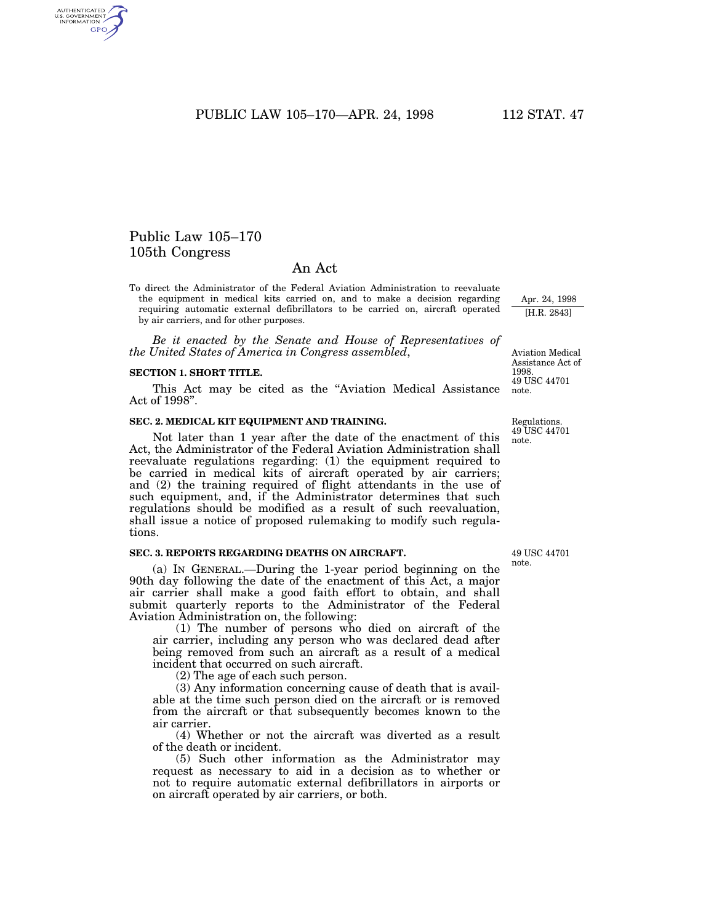PUBLIC LAW 105-170-- APR. 24, 1998 112 STAT. 47

# Public Law 105–170 105th Congress

# An Act

To direct the Administrator of the Federal Aviation Administration to reevaluate the equipment in medical kits carried on, and to make a decision regarding requiring automatic external defibrillators to be carried on, aircraft operated by air carriers, and for other purposes.

*Be it enacted by the Senate and House of Representatives of the United States of America in Congress assembled*,

### **SECTION 1. SHORT TITLE.**

This Act may be cited as the ''Aviation Medical Assistance Act of 1998''.

### **SEC. 2. MEDICAL KIT EQUIPMENT AND TRAINING.**

Not later than 1 year after the date of the enactment of this Act, the Administrator of the Federal Aviation Administration shall reevaluate regulations regarding: (1) the equipment required to be carried in medical kits of aircraft operated by air carriers; and (2) the training required of flight attendants in the use of such equipment, and, if the Administrator determines that such regulations should be modified as a result of such reevaluation, shall issue a notice of proposed rulemaking to modify such regulations.

#### **SEC. 3. REPORTS REGARDING DEATHS ON AIRCRAFT.**

(a) IN GENERAL.—During the 1-year period beginning on the 90th day following the date of the enactment of this Act, a major air carrier shall make a good faith effort to obtain, and shall submit quarterly reports to the Administrator of the Federal Aviation Administration on, the following:

(1) The number of persons who died on aircraft of the air carrier, including any person who was declared dead after being removed from such an aircraft as a result of a medical incident that occurred on such aircraft.

(2) The age of each such person.

(3) Any information concerning cause of death that is available at the time such person died on the aircraft or is removed from the aircraft or that subsequently becomes known to the air carrier.

(4) Whether or not the aircraft was diverted as a result of the death or incident.

(5) Such other information as the Administrator may request as necessary to aid in a decision as to whether or not to require automatic external defibrillators in airports or on aircraft operated by air carriers, or both.

49 USC 44701 note.

Apr. 24, 1998 [H.R. 2843]

49 USC 44701 note. Aviation Medical Assistance Act of 1998.

Regulations.

49 USC 44701 note.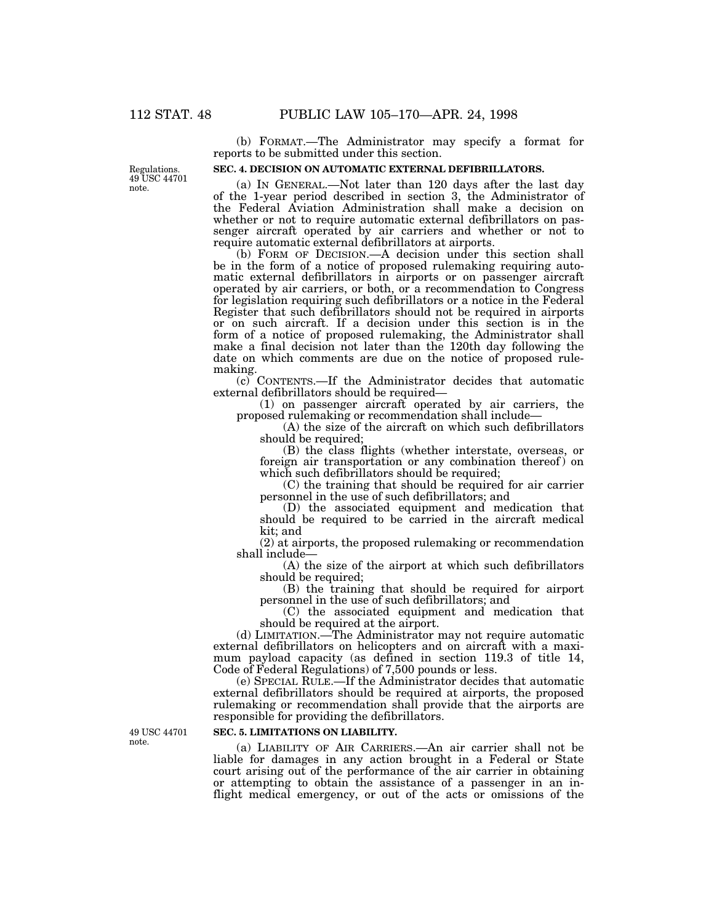(b) FORMAT.—The Administrator may specify a format for reports to be submitted under this section.

#### **SEC. 4. DECISION ON AUTOMATIC EXTERNAL DEFIBRILLATORS.**

(a) IN GENERAL.—Not later than 120 days after the last day of the 1-year period described in section 3, the Administrator of the Federal Aviation Administration shall make a decision on whether or not to require automatic external defibrillators on passenger aircraft operated by air carriers and whether or not to require automatic external defibrillators at airports.

(b) FORM OF DECISION.—A decision under this section shall be in the form of a notice of proposed rulemaking requiring automatic external defibrillators in airports or on passenger aircraft operated by air carriers, or both, or a recommendation to Congress for legislation requiring such defibrillators or a notice in the Federal Register that such defibrillators should not be required in airports or on such aircraft. If a decision under this section is in the form of a notice of proposed rulemaking, the Administrator shall make a final decision not later than the 120th day following the date on which comments are due on the notice of proposed rulemaking.

(c) CONTENTS.—If the Administrator decides that automatic external defibrillators should be required—

(1) on passenger aircraft operated by air carriers, the proposed rulemaking or recommendation shall include—

(A) the size of the aircraft on which such defibrillators should be required;

(B) the class flights (whether interstate, overseas, or foreign air transportation or any combination thereof ) on which such defibrillators should be required;

(C) the training that should be required for air carrier personnel in the use of such defibrillators; and

(D) the associated equipment and medication that should be required to be carried in the aircraft medical kit; and

(2) at airports, the proposed rulemaking or recommendation shall include—

(A) the size of the airport at which such defibrillators should be required;

(B) the training that should be required for airport personnel in the use of such defibrillators; and

(C) the associated equipment and medication that should be required at the airport.

(d) LIMITATION.—The Administrator may not require automatic external defibrillators on helicopters and on aircraft with a maximum payload capacity (as defined in section 119.3 of title 14, Code of Federal Regulations) of 7,500 pounds or less.

(e) SPECIAL RULE.—If the Administrator decides that automatic external defibrillators should be required at airports, the proposed rulemaking or recommendation shall provide that the airports are responsible for providing the defibrillators.

# **SEC. 5. LIMITATIONS ON LIABILITY.**

(a) LIABILITY OF AIR CARRIERS.—An air carrier shall not be liable for damages in any action brought in a Federal or State court arising out of the performance of the air carrier in obtaining or attempting to obtain the assistance of a passenger in an inflight medical emergency, or out of the acts or omissions of the

Regulations. 49 USC 44701 note.

49 USC 44701 note.